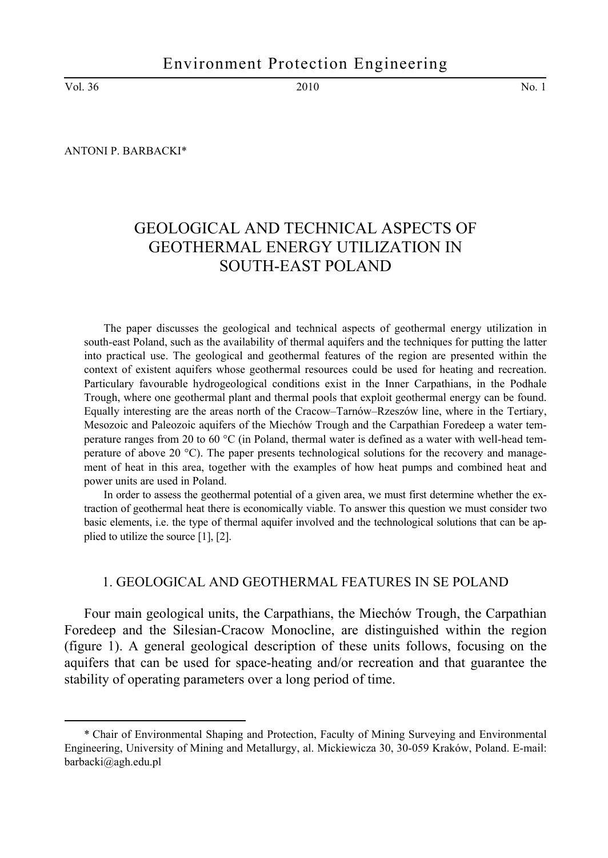Vol. 36 2010 No. 1

l

ANTONI P. BARBACKI\*

# GEOLOGICAL AND TECHNICAL ASPECTS OF GEOTHERMAL ENERGY UTILIZATION IN SOUTH-EAST POLAND

The paper discusses the geological and technical aspects of geothermal energy utilization in south-east Poland, such as the availability of thermal aquifers and the techniques for putting the latter into practical use. The geological and geothermal features of the region are presented within the context of existent aquifers whose geothermal resources could be used for heating and recreation. Particulary favourable hydrogeological conditions exist in the Inner Carpathians, in the Podhale Trough, where one geothermal plant and thermal pools that exploit geothermal energy can be found. Equally interesting are the areas north of the Cracow–Tarnów–Rzeszów line, where in the Tertiary, Mesozoic and Paleozoic aquifers of the Miechów Trough and the Carpathian Foredeep a water temperature ranges from 20 to 60 °C (in Poland, thermal water is defined as a water with well-head temperature of above 20 °C). The paper presents technological solutions for the recovery and management of heat in this area, together with the examples of how heat pumps and combined heat and power units are used in Poland.

In order to assess the geothermal potential of a given area, we must first determine whether the extraction of geothermal heat there is economically viable. To answer this question we must consider two basic elements, i.e. the type of thermal aquifer involved and the technological solutions that can be applied to utilize the source [1], [2].

# 1. GEOLOGICAL AND GEOTHERMAL FEATURES IN SE POLAND

Four main geological units, the Carpathians, the Miechów Trough, the Carpathian Foredeep and the Silesian-Cracow Monocline, are distinguished within the region (figure 1). A general geological description of these units follows, focusing on the aquifers that can be used for space-heating and/or recreation and that guarantee the stability of operating parameters over a long period of time.

<sup>\*</sup> Chair of Environmental Shaping and Protection, Faculty of Mining Surveying and Environmental Engineering, University of Mining and Metallurgy, al. Mickiewicza 30, 30-059 Kraków, Poland. E-mail: barbacki@agh.edu.pl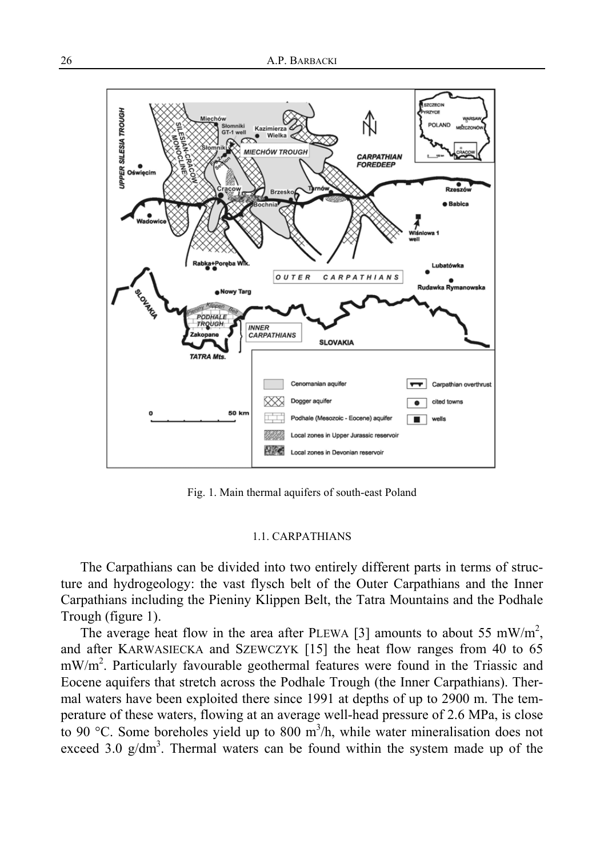

Fig. 1. Main thermal aquifers of south-east Poland

## 1.1. CARPATHIANS

The Carpathians can be divided into two entirely different parts in terms of structure and hydrogeology: the vast flysch belt of the Outer Carpathians and the Inner Carpathians including the Pieniny Klippen Belt, the Tatra Mountains and the Podhale Trough (figure 1).

The average heat flow in the area after PLEWA [3] amounts to about 55 mW/m<sup>2</sup>, and after KARWASIECKA and SZEWCZYK [15] the heat flow ranges from 40 to 65 mW/m<sup>2</sup>. Particularly favourable geothermal features were found in the Triassic and Eocene aquifers that stretch across the Podhale Trough (the Inner Carpathians). Thermal waters have been exploited there since 1991 at depths of up to 2900 m. The temperature of these waters, flowing at an average well-head pressure of 2.6 MPa, is close to 90 °C. Some boreholes yield up to 800  $m^3/h$ , while water mineralisation does not exceed 3.0  $g/dm<sup>3</sup>$ . Thermal waters can be found within the system made up of the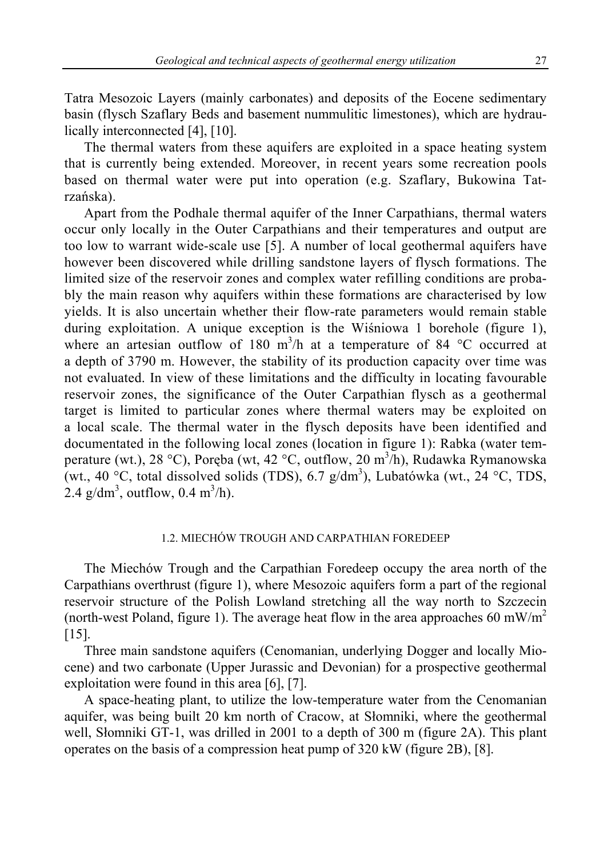Tatra Mesozoic Layers (mainly carbonates) and deposits of the Eocene sedimentary basin (flysch Szaflary Beds and basement nummulitic limestones), which are hydraulically interconnected [4], [10].

The thermal waters from these aquifers are exploited in a space heating system that is currently being extended. Moreover, in recent years some recreation pools based on thermal water were put into operation (e.g. Szaflary, Bukowina Tatrzańska).

Apart from the Podhale thermal aquifer of the Inner Carpathians, thermal waters occur only locally in the Outer Carpathians and their temperatures and output are too low to warrant wide-scale use [5]. A number of local geothermal aquifers have however been discovered while drilling sandstone layers of flysch formations. The limited size of the reservoir zones and complex water refilling conditions are probably the main reason why aquifers within these formations are characterised by low yields. It is also uncertain whether their flow-rate parameters would remain stable during exploitation. A unique exception is the Wiśniowa 1 borehole (figure 1), where an artesian outflow of 180 m<sup>3</sup>/h at a temperature of 84  $\degree$ C occurred at a depth of 3790 m. However, the stability of its production capacity over time was not evaluated. In view of these limitations and the difficulty in locating favourable reservoir zones, the significance of the Outer Carpathian flysch as a geothermal target is limited to particular zones where thermal waters may be exploited on a local scale. The thermal water in the flysch deposits have been identified and documentated in the following local zones (location in figure 1): Rabka (water temperature (wt.), 28 °C), Poręba (wt, 42 °C, outflow, 20 m<sup>3</sup>/h), Rudawka Rymanowska (wt., 40 °C, total dissolved solids (TDS), 6.7  $g/dm<sup>3</sup>$ ), Lubatówka (wt., 24 °C, TDS, 2.4 g/dm<sup>3</sup>, outflow,  $0.4 \text{ m}^3/\text{h}$ ).

## 1.2. MIECHÓW TROUGH AND CARPATHIAN FOREDEEP

The Miechów Trough and the Carpathian Foredeep occupy the area north of the Carpathians overthrust (figure 1), where Mesozoic aquifers form a part of the regional reservoir structure of the Polish Lowland stretching all the way north to Szczecin (north-west Poland, figure 1). The average heat flow in the area approaches 60 mW/m<sup>2</sup> [15].

Three main sandstone aquifers (Cenomanian, underlying Dogger and locally Miocene) and two carbonate (Upper Jurassic and Devonian) for a prospective geothermal exploitation were found in this area [6], [7].

A space-heating plant, to utilize the low-temperature water from the Cenomanian aquifer, was being built 20 km north of Cracow, at Słomniki, where the geothermal well, Słomniki GT-1, was drilled in 2001 to a depth of 300 m (figure 2A). This plant operates on the basis of a compression heat pump of 320 kW (figure 2B), [8].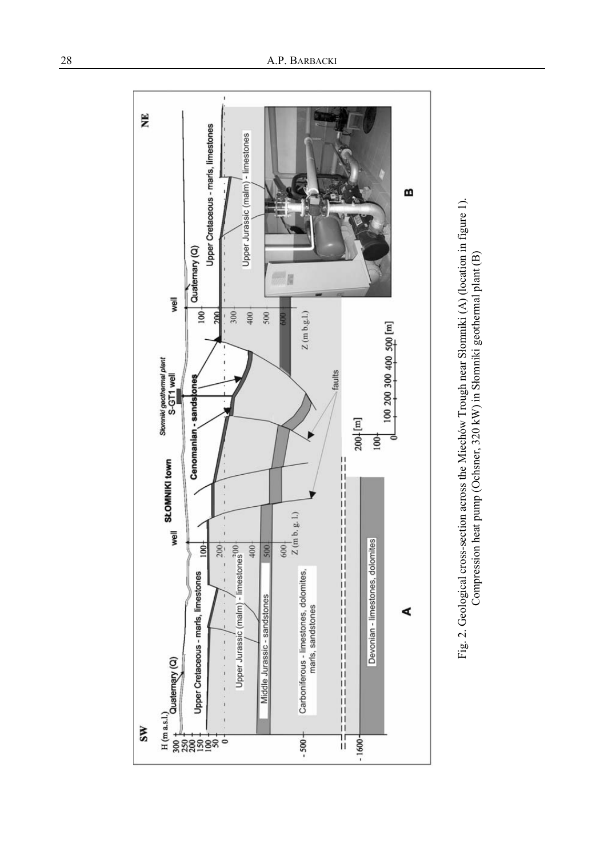

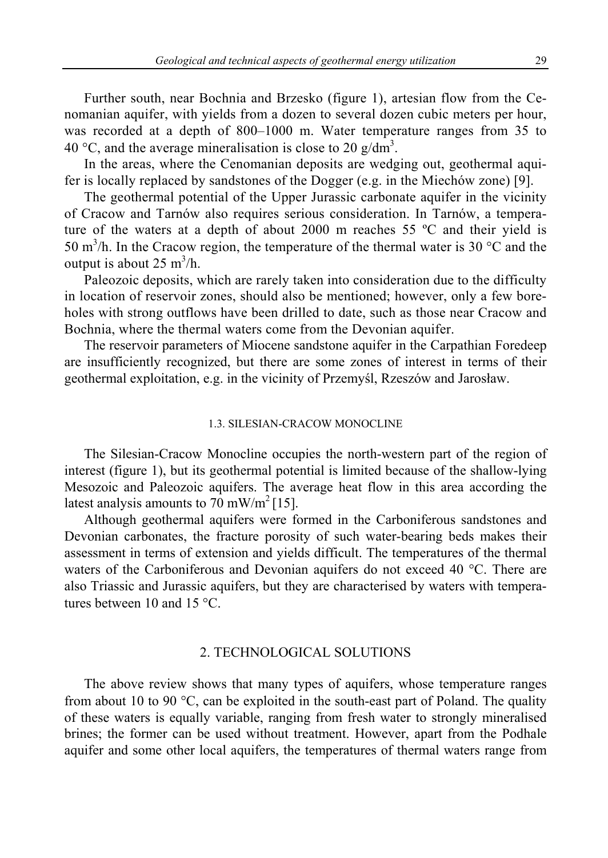Further south, near Bochnia and Brzesko (figure 1), artesian flow from the Cenomanian aquifer, with yields from a dozen to several dozen cubic meters per hour, was recorded at a depth of 800–1000 m. Water temperature ranges from 35 to 40 °C, and the average mineralisation is close to 20 g/dm<sup>3</sup>.

In the areas, where the Cenomanian deposits are wedging out, geothermal aquifer is locally replaced by sandstones of the Dogger (e.g. in the Miechów zone) [9].

The geothermal potential of the Upper Jurassic carbonate aquifer in the vicinity of Cracow and Tarnów also requires serious consideration. In Tarnów, a temperature of the waters at a depth of about 2000 m reaches 55 ºC and their yield is 50 m<sup>3</sup>/h. In the Cracow region, the temperature of the thermal water is 30  $^{\circ}$ C and the output is about  $25 \text{ m}^3/\text{h}$ .

Paleozoic deposits, which are rarely taken into consideration due to the difficulty in location of reservoir zones, should also be mentioned; however, only a few boreholes with strong outflows have been drilled to date, such as those near Cracow and Bochnia, where the thermal waters come from the Devonian aquifer.

The reservoir parameters of Miocene sandstone aquifer in the Carpathian Foredeep are insufficiently recognized, but there are some zones of interest in terms of their geothermal exploitation, e.g. in the vicinity of Przemyśl, Rzeszów and Jarosław.

## 1.3. SILESIAN-CRACOW MONOCLINE

The Silesian-Cracow Monocline occupies the north-western part of the region of interest (figure 1), but its geothermal potential is limited because of the shallow-lying Mesozoic and Paleozoic aquifers. The average heat flow in this area according the latest analysis amounts to  $70 \text{ mW/m}^2$  [15].

Although geothermal aquifers were formed in the Carboniferous sandstones and Devonian carbonates, the fracture porosity of such water-bearing beds makes their assessment in terms of extension and yields difficult. The temperatures of the thermal waters of the Carboniferous and Devonian aquifers do not exceed 40 °C. There are also Triassic and Jurassic aquifers, but they are characterised by waters with temperatures between 10 and 15 °C.

### 2. TECHNOLOGICAL SOLUTIONS

The above review shows that many types of aquifers, whose temperature ranges from about 10 to 90 °C, can be exploited in the south-east part of Poland. The quality of these waters is equally variable, ranging from fresh water to strongly mineralised brines; the former can be used without treatment. However, apart from the Podhale aquifer and some other local aquifers, the temperatures of thermal waters range from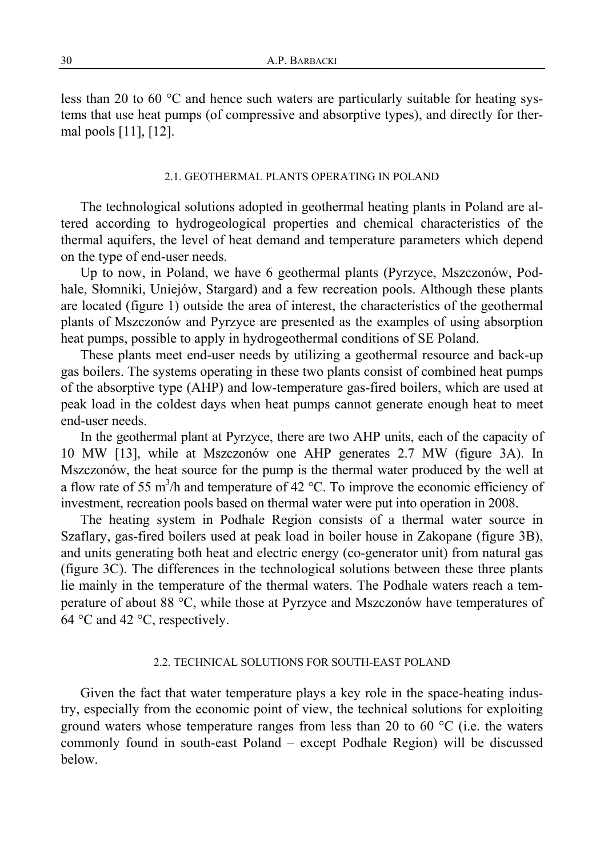less than 20 to 60 °C and hence such waters are particularly suitable for heating systems that use heat pumps (of compressive and absorptive types), and directly for thermal pools [11], [12].

#### 2.1. GEOTHERMAL PLANTS OPERATING IN POLAND

The technological solutions adopted in geothermal heating plants in Poland are altered according to hydrogeological properties and chemical characteristics of the thermal aquifers, the level of heat demand and temperature parameters which depend on the type of end-user needs.

Up to now, in Poland, we have 6 geothermal plants (Pyrzyce, Mszczonów, Podhale, Słomniki, Uniejów, Stargard) and a few recreation pools. Although these plants are located (figure 1) outside the area of interest, the characteristics of the geothermal plants of Mszczonów and Pyrzyce are presented as the examples of using absorption heat pumps, possible to apply in hydrogeothermal conditions of SE Poland.

These plants meet end-user needs by utilizing a geothermal resource and back-up gas boilers. The systems operating in these two plants consist of combined heat pumps of the absorptive type (AHP) and low-temperature gas-fired boilers, which are used at peak load in the coldest days when heat pumps cannot generate enough heat to meet end-user needs.

In the geothermal plant at Pyrzyce, there are two AHP units, each of the capacity of 10 MW [13], while at Mszczonów one AHP generates 2.7 MW (figure 3A). In Mszczonów, the heat source for the pump is the thermal water produced by the well at a flow rate of 55 m<sup>3</sup>/h and temperature of 42 °C. To improve the economic efficiency of investment, recreation pools based on thermal water were put into operation in 2008.

The heating system in Podhale Region consists of a thermal water source in Szaflary, gas-fired boilers used at peak load in boiler house in Zakopane (figure 3B), and units generating both heat and electric energy (co-generator unit) from natural gas (figure 3C). The differences in the technological solutions between these three plants lie mainly in the temperature of the thermal waters. The Podhale waters reach a temperature of about 88 °C, while those at Pyrzyce and Mszczonów have temperatures of 64 °C and 42 °C, respectively.

#### 2.2. TECHNICAL SOLUTIONS FOR SOUTH-EAST POLAND

Given the fact that water temperature plays a key role in the space-heating industry, especially from the economic point of view, the technical solutions for exploiting ground waters whose temperature ranges from less than 20 to 60  $^{\circ}$ C (i.e. the waters commonly found in south-east Poland – except Podhale Region) will be discussed below.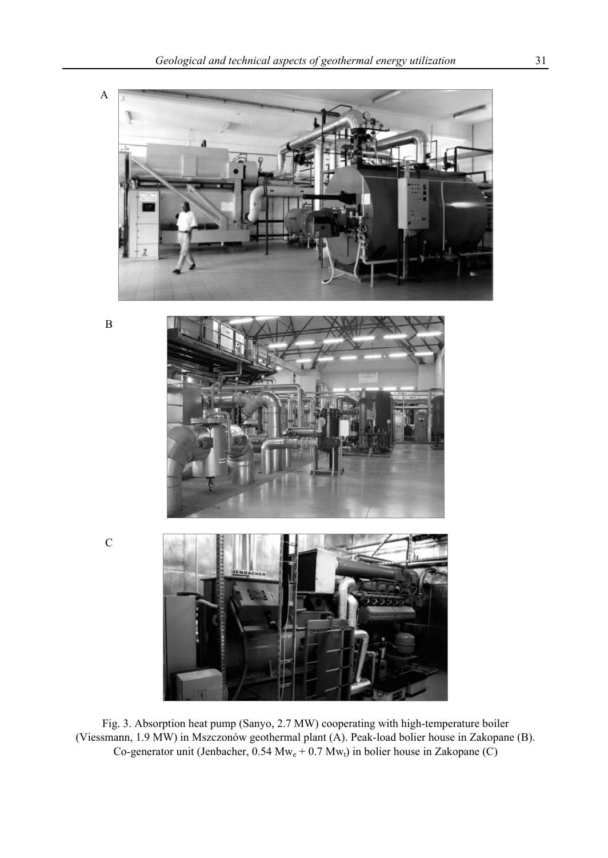

B



C



Fig. 3. Absorption heat pump (Sanyo, 2.7 MW) cooperating with high-temperature boiler (Viessmann, 1.9 MW) in Mszczonów geothermal plant (A). Peak-load bolier house in Zakopane (B). Co-generator unit (Jenbacher,  $0.54 \text{ Mw}_e + 0.7 \text{ Mw}_t$ ) in bolier house in Zakopane (C)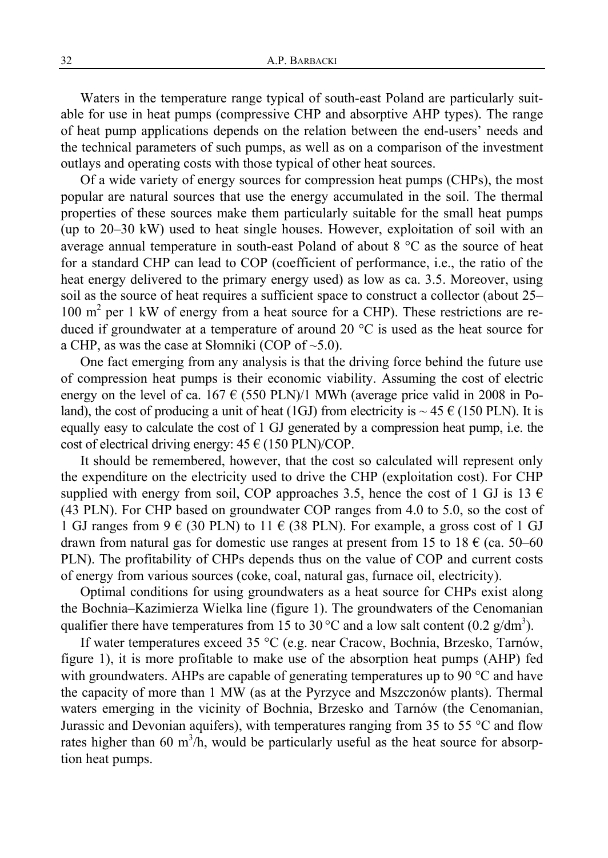Waters in the temperature range typical of south-east Poland are particularly suitable for use in heat pumps (compressive CHP and absorptive AHP types). The range of heat pump applications depends on the relation between the end-users' needs and the technical parameters of such pumps, as well as on a comparison of the investment outlays and operating costs with those typical of other heat sources.

Of a wide variety of energy sources for compression heat pumps (CHPs), the most popular are natural sources that use the energy accumulated in the soil. The thermal properties of these sources make them particularly suitable for the small heat pumps (up to 20–30 kW) used to heat single houses. However, exploitation of soil with an average annual temperature in south-east Poland of about 8 °C as the source of heat for a standard CHP can lead to COP (coefficient of performance, i.e., the ratio of the heat energy delivered to the primary energy used) as low as ca. 3.5. Moreover, using soil as the source of heat requires a sufficient space to construct a collector (about 25– 100 m<sup>2</sup> per 1 kW of energy from a heat source for a CHP). These restrictions are reduced if groundwater at a temperature of around 20 °C is used as the heat source for a CHP, as was the case at Słomniki (COP of  $\sim$ 5.0).

One fact emerging from any analysis is that the driving force behind the future use of compression heat pumps is their economic viability. Assuming the cost of electric energy on the level of ca. 167  $\epsilon$  (550 PLN)/1 MWh (average price valid in 2008 in Poland), the cost of producing a unit of heat (1GJ) from electricity is  $\sim$  45 € (150 PLN). It is equally easy to calculate the cost of 1 GJ generated by a compression heat pump, i.e. the cost of electrical driving energy:  $45 \in (150 \text{ PLN})/\text{COP}$ .

It should be remembered, however, that the cost so calculated will represent only the expenditure on the electricity used to drive the CHP (exploitation cost). For CHP supplied with energy from soil, COP approaches 3.5, hence the cost of 1 GJ is 13  $\epsilon$ (43 PLN). For CHP based on groundwater COP ranges from 4.0 to 5.0, so the cost of 1 GJ ranges from 9  $\in$  (30 PLN) to 11  $\in$  (38 PLN). For example, a gross cost of 1 GJ drawn from natural gas for domestic use ranges at present from 15 to 18  $\epsilon$  (ca. 50–60 PLN). The profitability of CHPs depends thus on the value of COP and current costs of energy from various sources (coke, coal, natural gas, furnace oil, electricity).

Optimal conditions for using groundwaters as a heat source for CHPs exist along the Bochnia–Kazimierza Wielka line (figure 1). The groundwaters of the Cenomanian qualifier there have temperatures from 15 to 30 °C and a low salt content (0.2  $g/dm<sup>3</sup>$ ).

If water temperatures exceed 35 °C (e.g. near Cracow, Bochnia, Brzesko, Tarnów, figure 1), it is more profitable to make use of the absorption heat pumps (AHP) fed with groundwaters. AHPs are capable of generating temperatures up to 90 °C and have the capacity of more than 1 MW (as at the Pyrzyce and Mszczonów plants). Thermal waters emerging in the vicinity of Bochnia, Brzesko and Tarnów (the Cenomanian, Jurassic and Devonian aquifers), with temperatures ranging from 35 to 55  $\degree$ C and flow rates higher than 60 m<sup>3</sup>/h, would be particularly useful as the heat source for absorption heat pumps.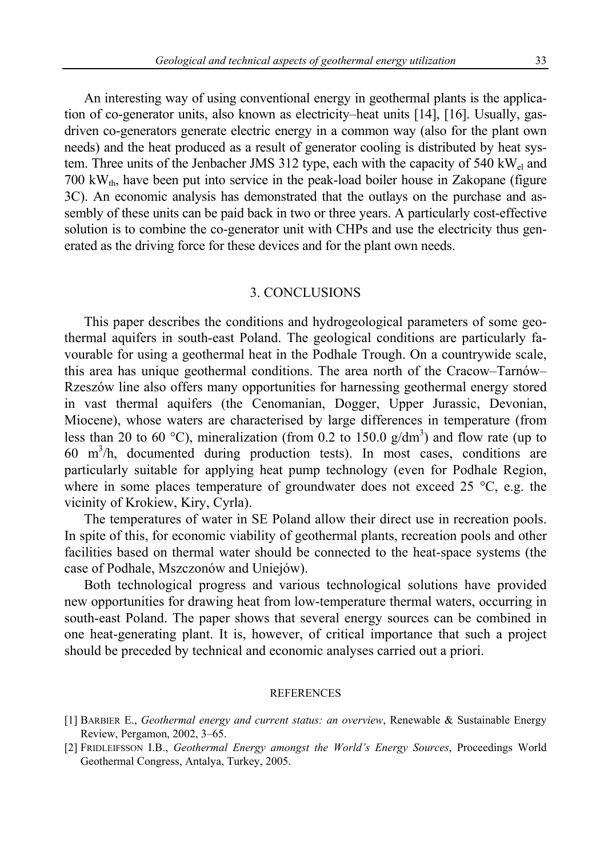An interesting way of using conventional energy in geothermal plants is the application of co-generator units, also known as electricity–heat units [14], [16]. Usually, gasdriven co-generators generate electric energy in a common way (also for the plant own needs) and the heat produced as a result of generator cooling is distributed by heat system. Three units of the Jenbacher JMS 312 type, each with the capacity of 540 kW<sub>el</sub> and  $700 \text{ kW}_{th}$ , have been put into service in the peak-load boiler house in Zakopane (figure 3C). An economic analysis has demonstrated that the outlays on the purchase and assembly of these units can be paid back in two or three years. A particularly cost-effective solution is to combine the co-generator unit with CHPs and use the electricity thus generated as the driving force for these devices and for the plant own needs.

## 3. CONCLUSIONS

This paper describes the conditions and hydrogeological parameters of some geothermal aquifers in south-east Poland. The geological conditions are particularly favourable for using a geothermal heat in the Podhale Trough. On a countrywide scale, this area has unique geothermal conditions. The area north of the Cracow–Tarnów– Rzeszów line also offers many opportunities for harnessing geothermal energy stored in vast thermal aquifers (the Cenomanian, Dogger, Upper Jurassic, Devonian, Miocene), whose waters are characterised by large differences in temperature (from less than 20 to 60 °C), mineralization (from 0.2 to 150.0 g/dm<sup>3</sup>) and flow rate (up to 60 m3 /h, documented during production tests). In most cases, conditions are particularly suitable for applying heat pump technology (even for Podhale Region, where in some places temperature of groundwater does not exceed 25 °C, e.g. the vicinity of Krokiew, Kiry, Cyrla).

The temperatures of water in SE Poland allow their direct use in recreation pools. In spite of this, for economic viability of geothermal plants, recreation pools and other facilities based on thermal water should be connected to the heat-space systems (the case of Podhale, Mszczonów and Uniejów).

Both technological progress and various technological solutions have provided new opportunities for drawing heat from low-temperature thermal waters, occurring in south-east Poland. The paper shows that several energy sources can be combined in one heat-generating plant. It is, however, of critical importance that such a project should be preceded by technical and economic analyses carried out a priori.

#### REFERENCES

- [1] BARBIER E., *Geothermal energy and current status: an overview*, Renewable & Sustainable Energy Review, Pergamon, 2002, 3–65.
- [2] FRIDLEIFSSON I.B., *Geothermal Energy amongst the World's Energy Sources*, Proceedings World Geothermal Congress, Antalya, Turkey, 2005.